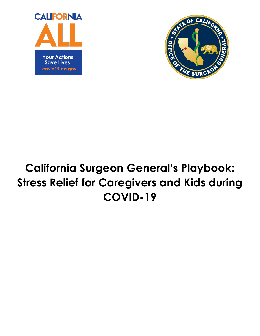



# **California Surgeon General's Playbook: Stress Relief for Caregivers and Kids during COVID-19**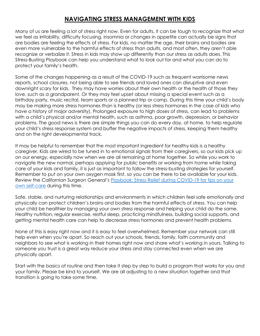# **NAVIGATING STRESS MANAGEMENT WITH KIDS**

Many of us are feeling a lot of stress right now. Even for adults, it can be tough to recognize that what we feel as irritability, difficulty focusing, insomnia or changes in appetite can actually be signs that are bodies are feeling the effects of stress. For kids, no matter the age, their brains and bodies are even more vulnerable to the harmful effects of stress than adults, and most often, they aren't able recognize or verbalize it. Stress in kids may show up differently than our stress as adults does. This Stress-Busting Playbook can help you understand what to look out for and what you can do to protect your family's health.

Some of the changes happening as a result of the COVID-19 such as frequent worrisome news reports, school closures, not being able to see friends and loved ones can disruptive and even downright scary for kids. They may have worries about their own health or the health of those they love, such as a grandparent. Or they may feel upset about missing a special event such as a birthday party, music recital, team sports or a planned trip or camp. During this time your child's body may be making more stress hormones than is healthy (or less stress hormones in the case of kids who have a history of major adversity). Prolonged exposure to high doses of stress, can lead to problems with a child's physical and/or mental health, such as asthma, poor growth, depression, or behavior problems. The good news is there are simple things you can do every day, at home, to help regulate your child's stress response system and buffer the negative impacts of stress, keeping them healthy and on the right developmental track.

It may be helpful to remember that the most important ingredient for healthy kids is a healthy caregiver. Kids are wired to be tuned in to emotional signals from their caregivers, so our kids pick up on our energy, especially now when we are all remaining at home together. So while you work to navigate the new normal, perhaps applying for public benefits or working from home while taking care of your kids and family, it is just as important to follow the stress-busting strategies for yourself. Remember to put on your own oxygen mask first, so you can be there to be available for your kids. Review the Californian Surgeon General's Playbook: Stress Relief during COVID-19 for tips on your own self-care during this time.

Safe, stable, and nurturing relationships and environments in which children feel safe emotionally and physically can protect children's brains and bodies from the harmful effects of stress. You can help your child be healthier by managing your own stress response and helping your child do the same. Healthy nutrition, regular exercise, restful sleep, practicing mindfulness, building social supports, and getting mental health care can help to decrease stress hormones and prevent health problems.

None of this is easy right now and it is easy to feel overwhelmed. Remember your network can still help even when you're apart. So reach out your schools, friends, family, faith community and neighbors to see what is working in their homes right now and share what's working in yours. Talking to someone you trust is a great way reduce your stress and stay connected even when we are physically apart.

Start with the basics of routine and then take it step by step to build a program that works for you and your family. Please be kind to yourself. We are all adjusting to a new situation together and that transition is going to take some time.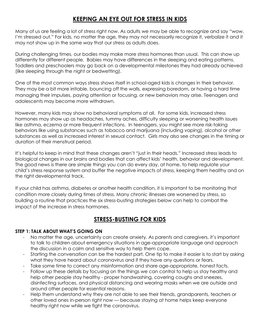# **KEEPING AN EYE OUT FOR STRESS IN KIDS**

Many of us are feeling a lot of stress right now. As adults we may be able to recognize and say "wow, I'm stressed out." For kids, no matter the age, they may not necessarily recognize it, verbalize it and it may not show up in the same way that our stress as adults does.

During challenging times, our bodies may make more stress hormones than usual. This can show up differently for different people. Babies may have differences in the sleeping and eating patterns. Toddlers and preschoolers may go back on a developmental milestones they had already achieved (like sleeping through the night or bedwetting).

One of the most common ways stress shows itself in school-aged kids is changes in their behavior. They may be a bit more irritable, bouncing off the walls, expressing boredom, or having a hard time managing their impulses, paying attention or focusing, or new behaviors may arise. Teenagers and adolescents may become more withdrawn.

However, many kids may show no behavioral symptoms at all. For some kids, increased stress hormones may show up as headaches, tummy aches, difficulty sleeping or worsening health issues like asthma, eczema or more frequent infections. In teenagers, you might see more risk-taking behaviors like using substances such as tobacco and marijuana (including vaping), alcohol or other substances as well as increased interest in sexual contact. Girls may also see changes in the timing or duration of their menstrual period.

It's helpful to keep in mind that these changes aren't "just in their heads." Increased stress leads to biological changes in our brains and bodies that can affect kids' health, behavior and development. The good news is there are simple things you can do every day, at home, to help regulate your child's stress response system and buffer the negative impacts of stress, keeping them healthy and on the right developmental track.

If your child has asthma, diabetes or another health condition, it is important to be monitoring that condition more closely during times of stress. Many chronic illnesses are worsened by stress, so building a routine that practices the six stress-busting strategies below can help to combat the impact of the increase in stress hormones.

# **STRESS-BUSTING FOR KIDS**

## **STEP 1: TALK ABOUT WHAT'S GOING ON**

- No matter the age, uncertainty can create anxiety. As parents and caregivers, it's important to talk to children about emergency situations in age-appropriate language and approach the discussion in a calm and sensitive way to help them cope.
- Starting the conversation can be the hardest part. One tip to make it easier is to start by asking what they have heard about coronavirus and if they have any questions or fears.
- Take some time to correct any misinformation and share age-appropriate, honest facts.
- Follow up these details by focusing on the things we can control to help us stay healthy and help other people stay healthy - proper handwashing, covering coughs and sneezes, disinfecting surfaces, and physical distancing and wearing masks when we are outside and around other people for essential reasons.
- Help them understand why they are not able to see their friends, grandparents, teachers or other loved ones in-person right now — because staying at home helps keep everyone healthy right now while we fight the coronavirus.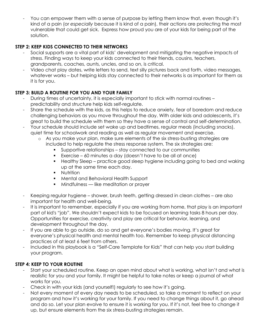You can empower them with a sense of purpose by letting them know that, even though it's kind of a pain (or *especially* because it is kind of a pain), their actions are protecting the most vulnerable that could get sick. Express how proud you are of your kids for being part of the solution.

# **STEP 2: KEEP KIDS CONNECTED TO THEIR NETWORKS**

- Social supports are a vital part of kids' development and mitigating the negative impacts of stress. Finding ways to keep your kids connected to their friends, cousins, teachers, grandparents, coaches, aunts, uncles, and so on, is critical.
- Video chat play dates, write letters to send, text silly pictures back and forth, video messages, whatever works – but helping kids stay connected to their networks is as important for them as it is for you.

## **STEP 3: BUILD A ROUTINE FOR YOU AND YOUR FAMILY**

- During times of uncertainty, it is especially important to stick with normal routines predictability and structure help kids self-regulate.
- Share the schedule with the kids, as this helps to reduce anxiety, fear of boredom and reduce challenging behaviors as you move throughout the day. With older kids and adolescents, it's great to build the schedule with them so they have a sense of control and self-determination.
- Your schedule should include set wake up and bedtimes, regular meals (including snacks), quiet time for schoolwork and reading as well as regular movement and exercise.
	- o As you make your plan, make sure elements of the six stress-busting strategies are included to help regulate the stress response system. The six strategies are:
		- Supportive relationships stay connected to our communities
		- Exercise 60 minutes a day (doesn't have to be all at once)
		- Healthy Sleep practice good sleep hygiene including going to bed and waking up at the same time each day.
		- **•** Nutrition
		- Mental and Behavioral Health Support
		- **•** Mindfulness like meditation or prayer
- Keeping regular hygiene shower, brush teeth, getting dressed in clean clothes are also important for health and well-being.
- It is important to remember, especially if you are working from home, that play is an important part of kid's "job". We shouldn't expect kids to be focused on learning tasks 8 hours per day. Opportunities for exercise, creativity and play are critical for behavior, learning, and development throughout the day.
- If you are able to go outside, do so and get everyone's bodies moving. It's great for everyone's physical health and mental health too. Remember to keep physical distancing practices of at least 6 feet from others.
- Included in this playbook is a "Self-Care Template for Kids" that can help you start building your program.

## **STEP 4: KEEP TO YOUR ROUTINE**

- Start your scheduled routine. Keep an open mind about what is working, what isn't and what is realistic for you and your family. It might be helpful to take notes or keep a journal of what works for you.
- Check in with your kids (and yourself!) regularly to see how it's going.
- Not every moment of every day needs to be scheduled, so take a moment to reflect on your program and how it's working for your family. If you need to change things about it, go ahead and do so. Let your plan evolve to ensure it is working for you. If it's not, feel free to change it up, but ensure elements from the six stress-busting strategies remain.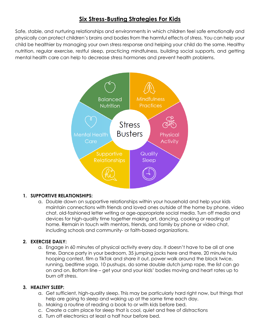# **Six Stress-Busting Strategies For Kids**

Safe, stable, and nurturing relationships and environments in which children feel safe emotionally and physically can protect children's brains and bodies from the harmful effects of stress. You can help your child be healthier by managing your own stress response and helping your child do the same. Healthy nutrition, regular exercise, restful sleep, practicing mindfulness, building social supports, and getting mental health care can help to decrease stress hormones and prevent health problems.



## **1. SUPPORTIVE RELATIONSHIPS:**

a. Double down on supportive relationships within your household and help your kids maintain connections with friends and loved ones outside of the home by phone, video chat, old-fashioned letter writing or age-appropriate social media. Turn off media and devices for high-quality time together making art, dancing, cooking or reading at home. Remain in touch with mentors, friends, and family by phone or video chat, including schools and community- or faith-based organizations.

## **2. EXERCISE DAILY:**

a. Engage in 60 minutes of physical activity every day. It doesn't have to be all at one time. Dance party in your bedroom, 35 jumping jacks here and there, 20 minute hula hooping contest, film a TikTok and share it out, power walk around the block twice, running, bedtime yoga, 10 pushups, do some double dutch jump rope, the list can go on and on. Bottom line – get your and your kids' bodies moving and heart rates up to burn off stress.

#### **3. HEALTHY SLEEP:**

- a. Get sufficient, high-quality sleep. This may be particularly hard right now, but things that help are going to sleep and waking up at the same time each day.
- b. Making a routine of reading a book to or with kids before bed.
- c. Create a calm place for sleep that is cool, quiet and free of distractions
- d. Turn off electronics at least a half hour before bed.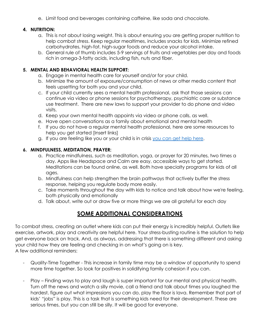e. Limit food and beverages containing caffeine, like soda and chocolate.

### **4. NUTRITION:**

- a. This is not about losing weight. This is about ensuring you are getting proper nutrition to help combat stress. Keep regular mealtimes, includes snacks for kids. Minimize refined carbohydrates, high-fat, high-sugar foods and reduce your alcohol intake.
- b. General rule of thumb includes 5-9 servings of fruits and vegetables per day and foods rich in omega-3-fatty acids, including fish, nuts and fiber.

#### **5. MENTAL AND BEHAVIORAL HEALTH SUPPORT:**

- a. Engage in mental health care for yourself and/or for your child.
- b. Minimize the amount of exposure/consumption of news or other media content that feels upsetting for both you and your child.
- c. If your child currently sees a mental health professional, ask that those sessions can continue via video or phone sessions for psychotherapy, psychiatric care or substance use treatment. There are new laws to support your provider to do phone and video visits.
- d. Keep your own mental health appoints via video or phone calls, as well.
- e. Have open conversations as a family about emotional and mental health
- f. If you do not have a regular mental health professional, here are some resources to help you get started [Insert links]
- g. If you are feeling like you or your child is in crisis you can get help here.

## **6. MINDFULNESS, MEDITATION, PRAYER:**

- a. Practice mindfulness, such as meditation, yoga, or prayer for 20 minutes, two times a day. Apps like Headspace and Calm are easy, accessible ways to get started. Meditations can be found online, as well. Both have specialty programs for kids of all ages.
- b. Mindfulness can help strengthen the brain pathways that actively buffer the stress response, helping you regulate body more easily.
- c. Take moments throughout the day with kids to notice and talk about how we're feeling, both physically and emotionally
- d. Talk about, write out or draw five or more things we are all grateful for each day

# **SOME ADDITIONAL CONSIDERATIONS**

To combat stress, creating an outlet where kids can put their energy is incredibly helpful. Outlets like exercise, artwork, play and creativity are helpful here. Your stress-busting routine is the solution to help get everyone back on track. And, as always, addressing that there is something different and asking your child how they are feeling and checking in on what's going on is key. A few additional reminders:

- Quality-Time Together This increase in family time may be a window of opportunity to spend more time together. So look for positives in solidifying family cohesion if you can.
- Play Finding ways to play and laugh is super important for our mental and physical health. Turn off the news and watch a silly movie, call a friend and talk about times you laughed the hardest, figure out what impressions you can do, play the floor is lava. Remember that part of kids' "jobs" is play. This is a task that is something kids need for their development. These are serious times, but you can still be silly. It will be good for everyone.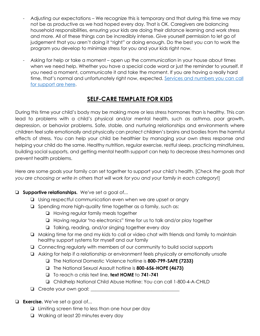- Adjusting our expectations We recognize this is temporary and that during this time we may not be as productive as we had hoped every day. That is OK. Caregivers are balancing household responsibilities, ensuring your kids are doing their distance learning and work stress and more. All of these things can be incredibly intense. Give yourself permission to let go of judgement that you aren't doing it "right" or doing enough. Do the best you can to work the program you develop to minimize stress for you and your kids right now.
- Asking for help or take a moment open up the communication in your house about times when we need help. Whether you have a special code word or just the reminder to yourself. If you need a moment, communicate it and take the moment. If you are having a really hard time, that's normal and unfortunately right now, expected. Services and numbers you can call for support are here.

# **SELF-CARE TEMPLATE FOR KIDS**

During this time your child's body may be making more or less stress hormones than is healthy. This can lead to problems with a child's physical and/or mental health, such as asthma, poor growth, depression, or behavior problems. Safe, stable, and nurturing relationships and environments where children feel safe emotionally and physically can protect children's brains and bodies from the harmful effects of stress. You can help your child be healthier by managing your own stress response and helping your child do the same. Healthy nutrition, regular exercise, restful sleep, practicing mindfulness, building social supports, and getting mental health support can help to decrease stress hormones and prevent health problems.

Here are some goals your family can set together to support your child's health. [*Check the goals that you are choosing or write in others that will work for you and your family in each category!*]

# ❏ **Supportive relationships.** We've set a goal of...

- ❏ Using respectful communication even when we are upset or angry
- ❏ Spending more high-quality time together as a family, such as:
	- ❏ Having regular family meals together
	- ❏ Having regular "no electronics" time for us to talk and/or play together
	- ❏ Talking, reading, and/or singing together every day
- ❏ Making time for me and my kids to call or video chat with friends and family to maintain healthy support systems for myself and our family
- ❏ Connecting regularly with members of our community to build social supports
- ❏ Asking for help if a relationship or environment feels physically or emotionally unsafe
	- ❏ The National Domestic Violence hotline is **800-799-SAFE (7233)**
	- ❏ The National Sexual Assault hotline is **800-656-HOPE (4673)**
	- ❏ To reach a crisis text line, **text HOME** to **741-741**
	- ❏ Childhelp National Child Abuse Hotline: You can call 1-800-4-A-CHILD
- ❏ Create your own goal: \_\_\_\_\_\_\_\_\_\_\_\_\_\_\_\_\_\_\_\_\_\_\_\_\_\_\_\_\_\_\_\_\_\_\_\_\_\_
- ❏ **Exercise.** We've set a goal of...
	- ❏ Limiting screen time to less than one hour per day
	- ❏ Walking at least 20 minutes every day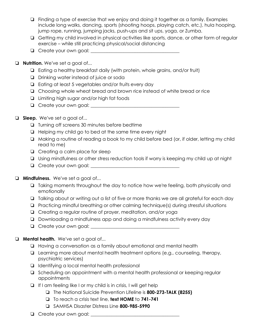- ❏ Finding a type of exercise that we enjoy and doing it together as a family. Examples include long walks, dancing, sports (shooting hoops, playing catch, etc.), hula hooping, jump rope, running, jumping jacks, push-ups and sit ups, yoga, or Zumba.
- ❏ Getting my child involved in physical activities like sports, dance, or other form of regular exercise – while still practicing physical/social distancing
- ❏ Create your own goal: \_\_\_\_\_\_\_\_\_\_\_\_\_\_\_\_\_\_\_\_\_\_\_\_\_\_\_\_\_\_\_\_\_\_\_\_\_\_

#### ❏ **Nutrition.** We've set a goal of...

- ❏ Eating a healthy breakfast daily (with protein, whole grains, and/or fruit)
- ❏ Drinking water instead of juice or soda
- ❏ Eating at least 5 vegetables and/or fruits every day
- ❏ Choosing whole wheat bread and brown rice instead of white bread or rice
- ❏ Limiting high sugar and/or high fat foods
- ❏ Create your own goal: \_\_\_\_\_\_\_\_\_\_\_\_\_\_\_\_\_\_\_\_\_\_\_\_\_\_\_\_\_\_\_\_\_\_\_\_\_\_

#### ❏ **Sleep.** We've set a goal of...

- ❏ Turning off screens 30 minutes before bedtime
- ❏ Helping my child go to bed at the same time every night
- ❏ Making a routine of reading a book to my child before bed (or, if older, letting my child read to me)
- ❏ Creating a calm place for sleep
- ❏ Using mindfulness or other stress reduction tools if worry is keeping my child up at night
- ❏ Create your own goal: \_\_\_\_\_\_\_\_\_\_\_\_\_\_\_\_\_\_\_\_\_\_\_\_\_\_\_\_\_\_\_\_\_\_\_\_\_\_
- ❏ **Mindfulness.** We've set a goal of...
	- ❏ Taking moments throughout the day to notice how we're feeling, both physically and emotionally
	- ❏ Talking about or writing out a list of five or more thanks we are all grateful for each day
	- ❏ Practicing mindful breathing or other calming technique(s) during stressful situations
	- ❏ Creating a regular routine of prayer, meditation, and/or yoga
	- ❏ Downloading a mindfulness app and doing a mindfulness activity every day
	- ❏ Create your own goal: \_\_\_\_\_\_\_\_\_\_\_\_\_\_\_\_\_\_\_\_\_\_\_\_\_\_\_\_\_\_\_\_\_\_\_\_\_\_
- ❏ **Mental health.** We've set a goal of...
	- ❏ Having a conversation as a family about emotional and mental health
	- ❏ Learning more about mental health treatment options (e.g., counseling, therapy, psychiatric services)
	- ❏ Identifying a local mental health professional
	- ❏ Scheduling an appointment with a mental health professional or keeping regular appointments
	- ❏ If I am feeling like I or my child is in crisis, I will get help
		- ❏ The National Suicide Prevention Lifeline is **800-273-TALK (8255)**
		- ❏ To reach a crisis text line, **text HOME** to **741-741**
		- ❏ SAMHSA Disaster Distress Line **800-985-5990**
	- ❏ Create your own goal: \_\_\_\_\_\_\_\_\_\_\_\_\_\_\_\_\_\_\_\_\_\_\_\_\_\_\_\_\_\_\_\_\_\_\_\_\_\_